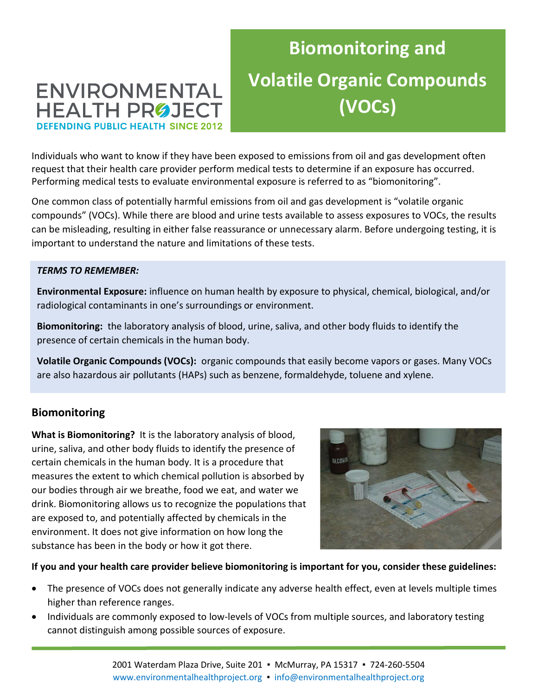# ENVIRONMENTAL **HEALTH PROJECT DEFENDING PUBLIC HEALTH SINCE 2012**

# Biomonitoring and Volatile Organic Compounds (VOCs)

Individuals who want to know if they have been exposed to emissions from oil and gas development often request that their health care provider perform medical tests to determine if an exposure has occurred. Performing medical tests to evaluate environmental exposure is referred to as "biomonitoring".

One common class of potentially harmful emissions from oil and gas development is "volatile organic compounds" (VOCs). While there are blood and urine tests available to assess exposures to VOCs, the results can be misleading, resulting in either false reassurance or unnecessary alarm. Before undergoing testing, it is important to understand the nature and limitations of these tests.

#### TERMS TO REMEMBER:

Environmental Exposure: influence on human health by exposure to physical, chemical, biological, and/or radiological contaminants in one's surroundings or environment.

Biomonitoring: the laboratory analysis of blood, urine, saliva, and other body fluids to identify the presence of certain chemicals in the human body.

Volatile Organic Compounds (VOCs): organic compounds that easily become vapors or gases. Many VOCs are also hazardous air pollutants (HAPs) such as benzene, formaldehyde, toluene and xylene.

### Biomonitoring

What is Biomonitoring? It is the laboratory analysis of blood, urine, saliva, and other body fluids to identify the presence of certain chemicals in the human body. It is a procedure that measures the extent to which chemical pollution is absorbed by our bodies through air we breathe, food we eat, and water we drink. Biomonitoring allows us to recognize the populations that are exposed to, and potentially affected by chemicals in the environment. It does not give information on how long the substance has been in the body or how it got there.



If you and your health care provider believe biomonitoring is important for you, consider these guidelines:

- The presence of VOCs does not generally indicate any adverse health effect, even at levels multiple times higher than reference ranges.
- Individuals are commonly exposed to low-levels of VOCs from multiple sources, and laboratory testing cannot distinguish among possible sources of exposure.